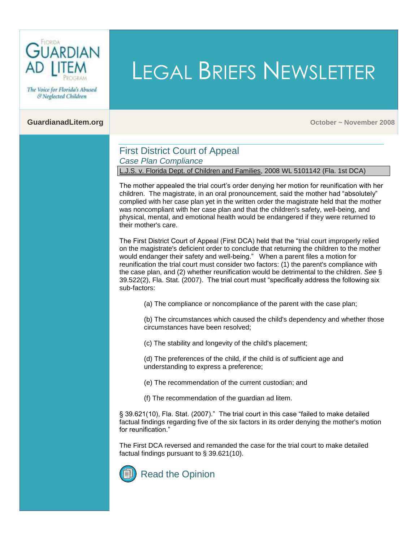

The Voice for Florida's Abused & Neglected Children

**CuardianadLitem.org October 2008** 

# First District Court of Appeal *Case Plan Compliance*

L.J.S. v. Florida Dept. of Children and Families, 2008 WL 5101142 (Fla. 1st DCA)

The mother appealed the trial court"s order denying her motion for reunification with her children. The magistrate, in an oral pronouncement, said the mother had "absolutely" complied with her case plan yet in the written order the magistrate held that the mother was noncompliant with her case plan and that the children's safety, well-being, and physical, mental, and emotional health would be endangered if they were returned to their mother's care.

LEGAL BRIEFS NEWSLETTER

The First District Court of Appeal (First DCA) held that the "trial court improperly relied on the magistrate's deficient order to conclude that returning the children to the mother would endanger their safety and well-being." When a parent files a motion for reunification the trial court must consider two factors: (1) the parent's compliance with the case plan, and (2) whether reunification would be detrimental to the children. *[See](http://www.leg.state.fl.us/Statutes/index.cfm?App_mode=Display_Statute&Search_String=&URL=Ch0039/SEC522.HTM&Title=->2007->Ch0039->Section%20522#0039.522)* § [39.522\(2\), Fla. Stat. \(2007\).](http://www.leg.state.fl.us/Statutes/index.cfm?App_mode=Display_Statute&Search_String=&URL=Ch0039/SEC522.HTM&Title=->2007->Ch0039->Section%20522#0039.522) The trial court must "specifically address the following six sub-factors:

(a) The compliance or noncompliance of the parent with the case plan;

(b) The circumstances which caused the child's dependency and whether those circumstances have been resolved;

(c) The stability and longevity of the child's placement;

(d) The preferences of the child, if the child is of sufficient age and understanding to express a preference;

(e) The recommendation of the current custodian; and

(f) The recommendation of the guardian ad litem.

[§ 39.621\(10\), Fla. Stat. \(2007\)."](http://www.leg.state.fl.us/Statutes/index.cfm?App_mode=Display_Statute&Search_String=&URL=Ch0039/SEC621.HTM&Title=->2007->Ch0039->Section%20621#0039.621) The trial court in this case "failed to make detailed factual findings regarding five of the six factors in its order denying the mother's motion for reunification."

The First DCA reversed and remanded the case for the trial court to make detailed factual findings pursuant to [§ 39.621\(10\).](http://www.leg.state.fl.us/Statutes/index.cfm?App_mode=Display_Statute&Search_String=&URL=Ch0039/SEC621.HTM&Title=->2007->Ch0039->Section%20621#0039.621)

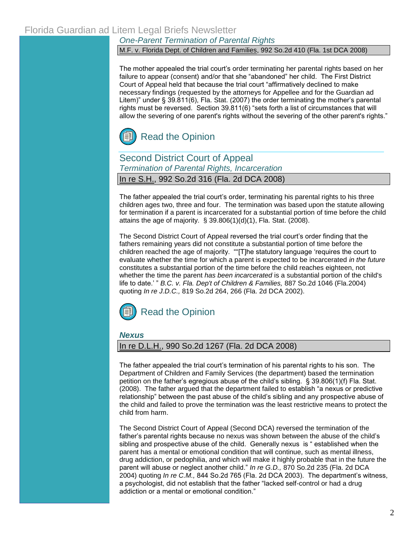### *One-Parent Termination of Parental Rights*

M.F. v. Florida Dept. of Children and Families, 992 So.2d 410 (Fla. 1st DCA 2008)

The mother appealed the trial court"s order terminating her parental rights based on her failure to appear (consent) and/or that she "abandoned" her child. The First District Court of Appeal held that because the trial court "affirmatively declined to make necessary findings (requested by the attorneys for Appellee and for the Guardian ad Litem)" under [§ 39.811\(6\), Fla.](http://www.leg.state.fl.us/Statutes/index.cfm?App_mode=Display_Statute&Search_String=&URL=Ch0039/SEC811.HTM&Title=->2007->Ch0039->Section%20811#0039.811) Stat. (2007) the order terminating the mother's parental rights must be reversed. [Section 39.811\(6\) "set](http://www.leg.state.fl.us/Statutes/index.cfm?App_mode=Display_Statute&Search_String=&URL=Ch0039/SEC811.HTM&Title=->2007->Ch0039->Section%20811#0039.811)s forth a list of circumstances that will allow the severing of one parent's rights without the severing of the other parent's rights."



Second District Court of Appeal *Termination of Parental Rights, Incarceration* In re S.H., 992 So.2d 316 (Fla. 2d DCA 2008)

The father appealed the trial court"s order, terminating his parental rights to his three children ages two, three and four. The termination was based upon the statute allowing for termination if a parent is incarcerated for a substantial portion of time before the child attains the age of majority.  $\S$  39.806(1)(d)(1), Fla. Stat. (2008).

The Second District Court of Appeal reversed the trial court"s order finding that the fathers remaining years did not constitute a substantial portion of time before the children reached the age of majority. ""[T]he statutory language "requires the court to evaluate whether the time for which a parent is expected to be incarcerated *in the future* constitutes a substantial portion of the time before the child reaches eighteen, not whether the time the parent *has been incarcerated* is a substantial portion of the child's life to date." " *B.C. v. Fla. Dep't of Children & Families,* 887 So.2d 1046 (Fla.2004) quoting *In re J.D.C.,* 819 So.2d 264, 266 (Fla. 2d DCA 2002).



*Nexus*

#### In re D.L.H., 990 So.2d 1267 (Fla. 2d DCA 2008)

The father appealed the trial court"s termination of his parental rights to his son. The Department of Children and Family Services (the department) based the termination petition on the father"s egregious abuse of the child"s sibling. [§ 39.806\(1\)\(f\) Fla. Stat.](http://www.leg.state.fl.us/Statutes/index.cfm?App_mode=Display_Statute&Search_String=&URL=Ch0039/SEC806.HTM&Title=->2007->Ch0039->Section%20806#0039.806)  [\(2008\). T](http://www.leg.state.fl.us/Statutes/index.cfm?App_mode=Display_Statute&Search_String=&URL=Ch0039/SEC806.HTM&Title=->2007->Ch0039->Section%20806#0039.806)he father argued that the department failed to establish "a nexus or predictive relationship" between the past abuse of the child"s sibling and any prospective abuse of the child and failed to prove the termination was the least restrictive means to protect the child from harm.

The Second District Court of Appeal (Second DCA) reversed the termination of the father"s parental rights because no nexus was shown between the abuse of the child"s sibling and prospective abuse of the child. Generally nexus is " established when the parent has a mental or emotional condition that will continue, such as mental illness, drug addiction, or pedophilia, and which will make it highly probable that in the future the parent will abuse or neglect another child." *In re G.D.,* 870 So.2d 235 (Fla. 2d DCA 2004) quoting *In re C.M.,* 844 So.2d 765 (Fla. 2d DCA 2003). The department"s witness, a psychologist, did not establish that the father "lacked self-control or had a drug addiction or a mental or emotional condition."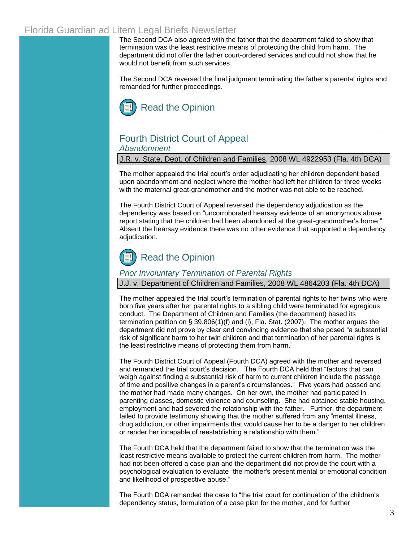# Florida Guardian ad Litem Legal Briefs Newsletter

The Second DCA also agreed with the father that the department failed to show that termination was the least restrictive means of protecting the child from harm. The department did not offer the father court-ordered services and could not show that he would not benefit from such services.

The Second DCA reversed the final judgment terminating the father's parental rights and remanded for further proceedings.



# Fourth District Court of Appeal *Abandonment*

J.R. v. State, Dept. of Children and Families, 2008 WL 4922953 (Fla. 4th DCA)

The mother appealed the trial court"s order adjudicating her children dependent based upon abandonment and neglect where the mother had left her children for three weeks with the maternal great-grandmother and the mother was not able to be reached.

The Fourth District Court of Appeal reversed the dependency adjudication as the dependency was based on "uncorroborated hearsay evidence of an anonymous abuse report stating that the children had been abandoned at the great-grandmother's home." Absent the hearsay evidence there was no other evidence that supported a dependency adiudication.



## *Prior Involuntary Termination of Parental Rights*

J.J. v. Department of Children and Families, 2008 WL 4864203 (Fla. 4th DCA)

The mother appealed the trial court"s termination of parental rights to her twins who were born five years after her parental rights to a sibling child were terminated for egregious conduct. The Department of Children and Families (the department) based its termination petition o[n § 39.806\(1\)\(f\) and \(i\),](http://www.leg.state.fl.us/Statutes/index.cfm?App_mode=Display_Statute&Search_String=&URL=Ch0039/SEC806.HTM&Title=->2007->Ch0039->Section%20806#0039.806) Fla. Stat. (2007). The mother argues the department did not prove by clear and convincing evidence that she posed "a substantial risk of significant harm to her twin children and that termination of her parental rights is the least restrictive means of protecting them from harm."

The Fourth District Court of Appeal (Fourth DCA) agreed with the mother and reversed and remanded the trial court"s decision. The Fourth DCA held that "factors that can weigh against finding a substantial risk of harm to current children include the passage of time and positive changes in a parent's circumstances." Five years had passed and the mother had made many changes. On her own, the mother had participated in parenting classes, domestic violence and counseling. She had obtained stable housing, employment and had severed the relationship with the father. Further, the department failed to provide testimony showing that the mother suffered from any "mental illness, drug addiction, or other impairments that would cause her to be a danger to her children or render her incapable of reestablishing a relationship with them."

The Fourth DCA held that the department failed to show that the termination was the least restrictive means available to protect the current children from harm. The mother had not been offered a case plan and the department did not provide the court with a psychological evaluation to evaluate "the mother's present mental or emotional condition and likelihood of prospective abuse."

The Fourth DCA remanded the case to "the trial court for continuation of the children's dependency status, formulation of a case plan for the mother, and for further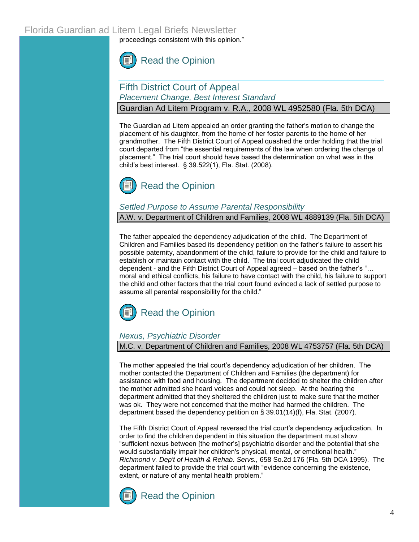proceedings consistent with this opinion."



# Fifth District Court of Appeal *Placement Change, Best Interest Standard*

Guardian Ad Litem Program v. R.A., 2008 WL 4952580 (Fla. 5th DCA)

The Guardian ad Litem appealed an order granting the father's motion to change the placement of his daughter, from the home of her foster parents to the home of her grandmother. The Fifth District Court of Appeal quashed the order holding that the trial court departed from "the essential requirements of the law when ordering the change of placement." The trial court should have based the determination on what was in the child"s best interest. [§ 39.522\(1\), Fla. Stat. \(2008\).](http://www.leg.state.fl.us/Statutes/index.cfm?App_mode=Display_Statute&Search_String=&URL=Ch0039/SEC522.HTM&Title=->2007->Ch0039->Section%20522#0039.522) 



### *Settled Purpose to Assume Parental Responsibility*

A.W. v. Department of Children and Families, 2008 WL 4889139 (Fla. 5th DCA)

The father appealed the dependency adjudication of the child. The Department of Children and Families based its dependency petition on the father"s failure to assert his possible paternity, abandonment of the child, failure to provide for the child and failure to establish or maintain contact with the child. The trial court adjudicated the child dependent - and the Fifth District Court of Appeal agreed – based on the father"s "… moral and ethical conflicts, his failure to have contact with the child, his failure to support the child and other factors that the trial court found evinced a lack of settled purpose to assume all parental responsibility for the child."



# *Nexus, Psychiatric Disorder*

M.C. v. Department of Children and Families, 2008 WL 4753757 (Fla. 5th DCA)

The mother appealed the trial court"s dependency adjudication of her children. The mother contacted the Department of Children and Families (the department) for assistance with food and housing. The department decided to shelter the children after the mother admitted she heard voices and could not sleep. At the hearing the department admitted that they sheltered the children just to make sure that the mother was ok. They were not concerned that the mother had harmed the children. The department based the dependency petition on [§ 39.01\(14\)\(f\), Fla. Stat. \(2007\).](http://www.leg.state.fl.us/Statutes/index.cfm?App_mode=Display_Statute&Search_String=&URL=Ch0039/SEC01.HTM&Title=->2007->Ch0039->Section%2001#0039.01)

The Fifth District Court of Appeal reversed the trial court's dependency adjudication. In order to find the children dependent in this situation the department must show "sufficient nexus between [the mother"s] psychiatric disorder and the potential that she would substantially impair her children's physical, mental, or emotional health." *Richmond v. Dep't of Health & Rehab. Servs.,* 658 So.2d 176 (Fla. 5th DCA 1995). The department failed to provide the trial court with "evidence concerning the existence, extent, or nature of any mental health problem."



[Read the Opinion](http://www.5dca.org/Opinions/Opin2008/102708/5D08-696.op.pdf)